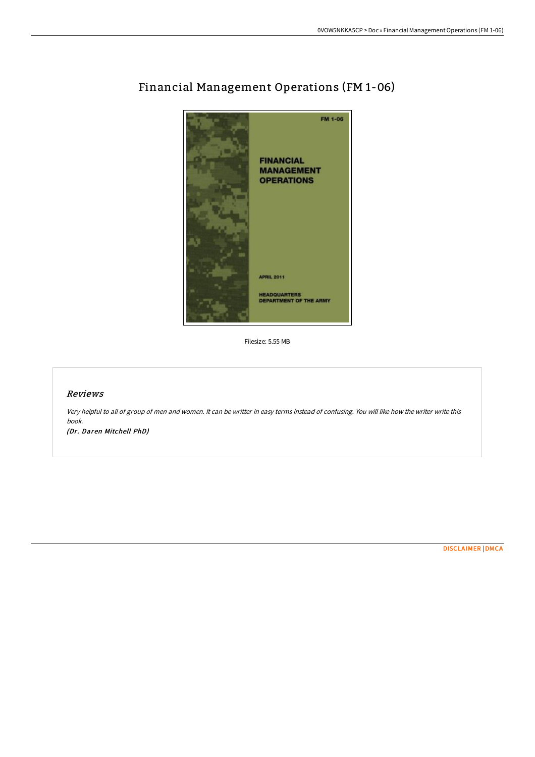

# Financial Management Operations (FM 1-06)

Filesize: 5.55 MB

## Reviews

Very helpful to all of group of men and women. It can be writter in easy terms instead of confusing. You will like how the writer write this book.

(Dr. Daren Mitchell PhD)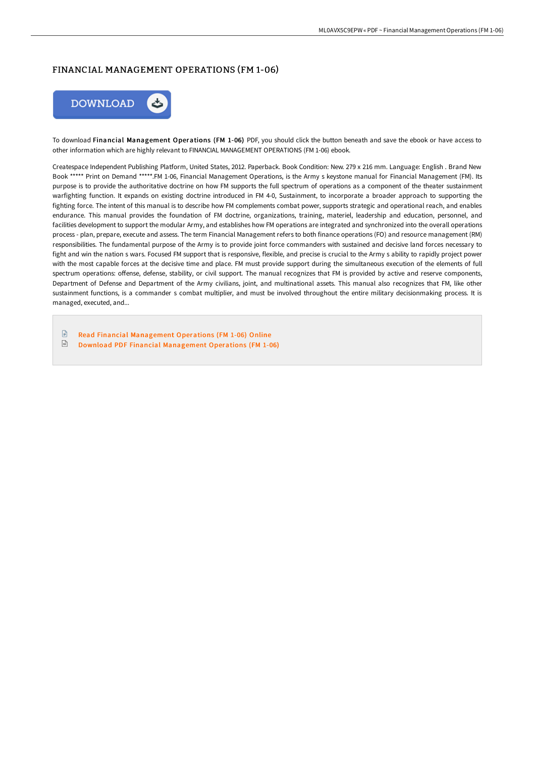# FINANCIAL MANAGEMENT OPERATIONS (FM 1-06)



To download Financial Management Operations (FM 1-06) PDF, you should click the button beneath and save the ebook or have access to other information which are highly relevant to FINANCIAL MANAGEMENT OPERATIONS (FM 1-06) ebook.

Createspace Independent Publishing Platform, United States, 2012. Paperback. Book Condition: New. 279 x 216 mm. Language: English . Brand New Book \*\*\*\*\* Print on Demand \*\*\*\*\*.FM 1-06, Financial Management Operations, is the Army s keystone manual for Financial Management (FM). Its purpose is to provide the authoritative doctrine on how FM supports the full spectrum of operations as a component of the theater sustainment warfighting function. It expands on existing doctrine introduced in FM 4-0, Sustainment, to incorporate a broader approach to supporting the fighting force. The intent of this manual is to describe how FM complements combat power, supports strategic and operational reach, and enables endurance. This manual provides the foundation of FM doctrine, organizations, training, materiel, leadership and education, personnel, and facilities development to support the modular Army, and establishes how FM operations are integrated and synchronized into the overall operations process - plan, prepare, execute and assess. The term Financial Management refers to both finance operations (FO) and resource management (RM) responsibilities. The fundamental purpose of the Army is to provide joint force commanders with sustained and decisive land forces necessary to fight and win the nation s wars. Focused FM support that is responsive, flexible, and precise is crucial to the Army s ability to rapidly project power with the most capable forces at the decisive time and place. FM must provide support during the simultaneous execution of the elements of full spectrum operations: offense, defense, stability, or civil support. The manual recognizes that FM is provided by active and reserve components, Department of Defense and Department of the Army civilians, joint, and multinational assets. This manual also recognizes that FM, like other sustainment functions, is a commander s combat multiplier, and must be involved throughout the entire military decisionmaking process. It is managed, executed, and...

 $\mathbb{R}$ Read Financial [Management](http://techno-pub.tech/financial-management-operations-fm-1-06-paperbac.html) Operations (FM 1-06) Online  $\begin{tabular}{|c|c|} \hline \multicolumn{1}{|c|}{\textbf{P}W} \end{tabular}$ Download PDF Financial [Management](http://techno-pub.tech/financial-management-operations-fm-1-06-paperbac.html) Operations (FM 1-06)